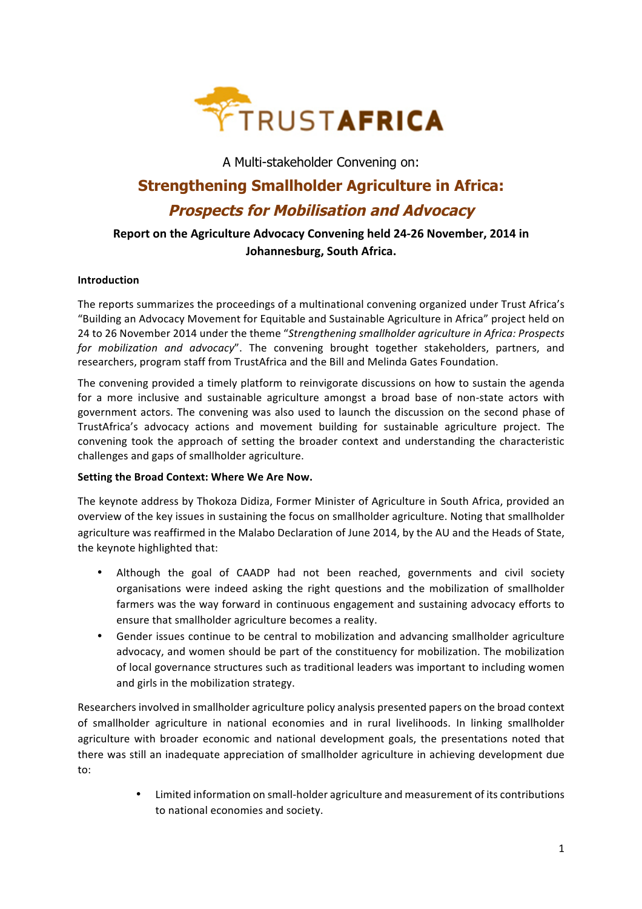

A Multi-stakeholder Convening on:

# **Strengthening Smallholder Agriculture in Africa: Prospects for Mobilisation and Advocacy**

# **Report on the Agriculture Advocacy Convening held 24-26 November, 2014 in Johannesburg, South Africa.**

### **Introduction**

The reports summarizes the proceedings of a multinational convening organized under Trust Africa's "Building an Advocacy Movement for Equitable and Sustainable Agriculture in Africa" project held on 24 to 26 November 2014 under the theme "*Strengthening smallholder agriculture in Africa: Prospects for* mobilization and advocacy". The convening brought together stakeholders, partners, and researchers, program staff from TrustAfrica and the Bill and Melinda Gates Foundation.

The convening provided a timely platform to reinvigorate discussions on how to sustain the agenda for a more inclusive and sustainable agriculture amongst a broad base of non-state actors with government actors. The convening was also used to launch the discussion on the second phase of TrustAfrica's advocacy actions and movement building for sustainable agriculture project. The convening took the approach of setting the broader context and understanding the characteristic challenges and gaps of smallholder agriculture.

#### **Setting the Broad Context: Where We Are Now.**

The keynote address by Thokoza Didiza, Former Minister of Agriculture in South Africa, provided an overview of the key issues in sustaining the focus on smallholder agriculture. Noting that smallholder agriculture was reaffirmed in the Malabo Declaration of June 2014, by the AU and the Heads of State, the keynote highlighted that:

- Although the goal of CAADP had not been reached, governments and civil society organisations were indeed asking the right questions and the mobilization of smallholder farmers was the way forward in continuous engagement and sustaining advocacy efforts to ensure that smallholder agriculture becomes a reality.
- Gender issues continue to be central to mobilization and advancing smallholder agriculture advocacy, and women should be part of the constituency for mobilization. The mobilization of local governance structures such as traditional leaders was important to including women and girls in the mobilization strategy.

Researchers involved in smallholder agriculture policy analysis presented papers on the broad context of smallholder agriculture in national economies and in rural livelihoods. In linking smallholder agriculture with broader economic and national development goals, the presentations noted that there was still an inadequate appreciation of smallholder agriculture in achieving development due to: 

> Limited information on small-holder agriculture and measurement of its contributions to national economies and society.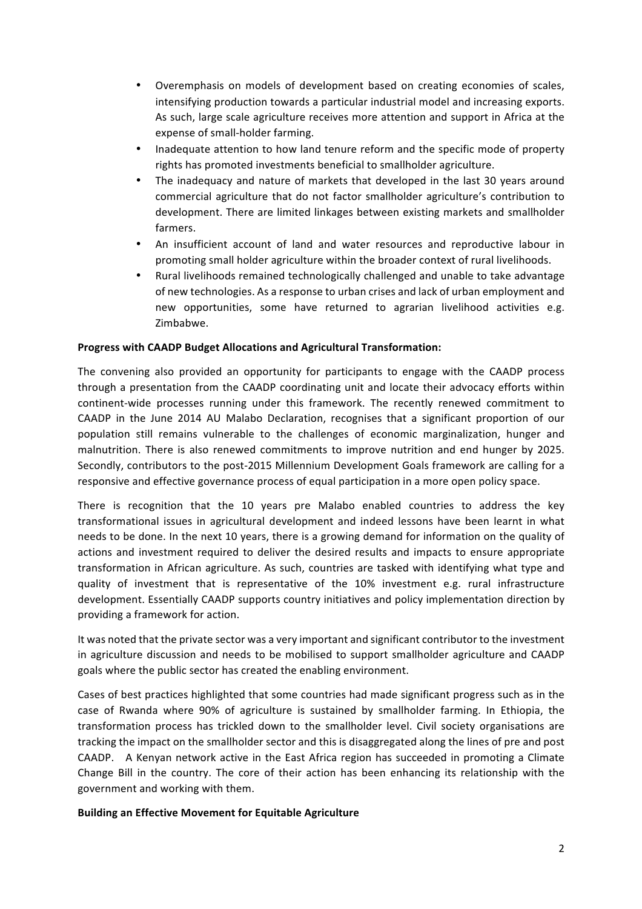- Overemphasis on models of development based on creating economies of scales, intensifying production towards a particular industrial model and increasing exports. As such, large scale agriculture receives more attention and support in Africa at the expense of small-holder farming.
- Inadequate attention to how land tenure reform and the specific mode of property rights has promoted investments beneficial to smallholder agriculture.
- The inadequacy and nature of markets that developed in the last 30 years around commercial agriculture that do not factor smallholder agriculture's contribution to development. There are limited linkages between existing markets and smallholder farmers.
- An insufficient account of land and water resources and reproductive labour in promoting small holder agriculture within the broader context of rural livelihoods.
- Rural livelihoods remained technologically challenged and unable to take advantage of new technologies. As a response to urban crises and lack of urban employment and new opportunities, some have returned to agrarian livelihood activities e.g. Zimbabwe.

#### **Progress with CAADP Budget Allocations and Agricultural Transformation:**

The convening also provided an opportunity for participants to engage with the CAADP process through a presentation from the CAADP coordinating unit and locate their advocacy efforts within continent-wide processes running under this framework. The recently renewed commitment to CAADP in the June 2014 AU Malabo Declaration, recognises that a significant proportion of our population still remains vulnerable to the challenges of economic marginalization, hunger and malnutrition. There is also renewed commitments to improve nutrition and end hunger by 2025. Secondly, contributors to the post-2015 Millennium Development Goals framework are calling for a responsive and effective governance process of equal participation in a more open policy space.

There is recognition that the 10 years pre Malabo enabled countries to address the key transformational issues in agricultural development and indeed lessons have been learnt in what needs to be done. In the next 10 years, there is a growing demand for information on the quality of actions and investment required to deliver the desired results and impacts to ensure appropriate transformation in African agriculture. As such, countries are tasked with identifying what type and quality of investment that is representative of the 10% investment e.g. rural infrastructure development. Essentially CAADP supports country initiatives and policy implementation direction by providing a framework for action.

It was noted that the private sector was a very important and significant contributor to the investment in agriculture discussion and needs to be mobilised to support smallholder agriculture and CAADP goals where the public sector has created the enabling environment.

Cases of best practices highlighted that some countries had made significant progress such as in the case of Rwanda where 90% of agriculture is sustained by smallholder farming. In Ethiopia, the transformation process has trickled down to the smallholder level. Civil society organisations are tracking the impact on the smallholder sector and this is disaggregated along the lines of pre and post CAADP. A Kenyan network active in the East Africa region has succeeded in promoting a Climate Change Bill in the country. The core of their action has been enhancing its relationship with the government and working with them.

#### **Building an Effective Movement for Equitable Agriculture**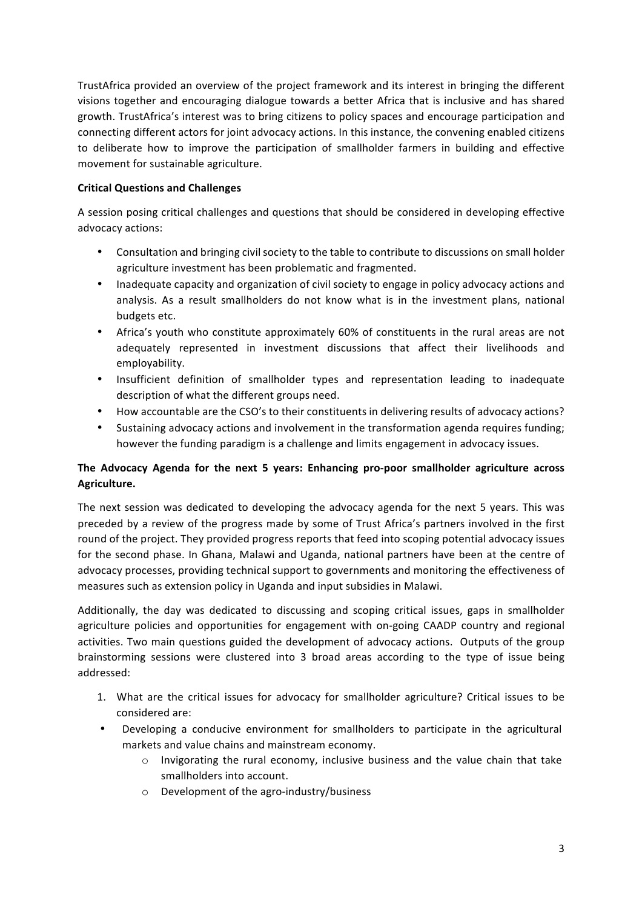TrustAfrica provided an overview of the project framework and its interest in bringing the different visions together and encouraging dialogue towards a better Africa that is inclusive and has shared growth. TrustAfrica's interest was to bring citizens to policy spaces and encourage participation and connecting different actors for joint advocacy actions. In this instance, the convening enabled citizens to deliberate how to improve the participation of smallholder farmers in building and effective movement for sustainable agriculture.

## **Critical Questions and Challenges**

A session posing critical challenges and questions that should be considered in developing effective advocacy actions:

- Consultation and bringing civil society to the table to contribute to discussions on small holder agriculture investment has been problematic and fragmented.
- Inadequate capacity and organization of civil society to engage in policy advocacy actions and analysis. As a result smallholders do not know what is in the investment plans, national budgets etc.
- Africa's youth who constitute approximately 60% of constituents in the rural areas are not adequately represented in investment discussions that affect their livelihoods and employability.
- Insufficient definition of smallholder types and representation leading to inadequate description of what the different groups need.
- How accountable are the CSO's to their constituents in delivering results of advocacy actions?
- Sustaining advocacy actions and involvement in the transformation agenda requires funding; however the funding paradigm is a challenge and limits engagement in advocacy issues.

# The Advocacy Agenda for the next 5 years: Enhancing pro-poor smallholder agriculture across **Agriculture.**

The next session was dedicated to developing the advocacy agenda for the next 5 years. This was preceded by a review of the progress made by some of Trust Africa's partners involved in the first round of the project. They provided progress reports that feed into scoping potential advocacy issues for the second phase. In Ghana, Malawi and Uganda, national partners have been at the centre of advocacy processes, providing technical support to governments and monitoring the effectiveness of measures such as extension policy in Uganda and input subsidies in Malawi.

Additionally, the day was dedicated to discussing and scoping critical issues, gaps in smallholder agriculture policies and opportunities for engagement with on-going CAADP country and regional activities. Two main questions guided the development of advocacy actions. Outputs of the group brainstorming sessions were clustered into 3 broad areas according to the type of issue being addressed: 

- 1. What are the critical issues for advocacy for smallholder agriculture? Critical issues to be considered are:
- Developing a conducive environment for smallholders to participate in the agricultural markets and value chains and mainstream economy.
	- $\circ$  Invigorating the rural economy, inclusive business and the value chain that take smallholders into account.
	- $\circ$  Development of the agro-industry/business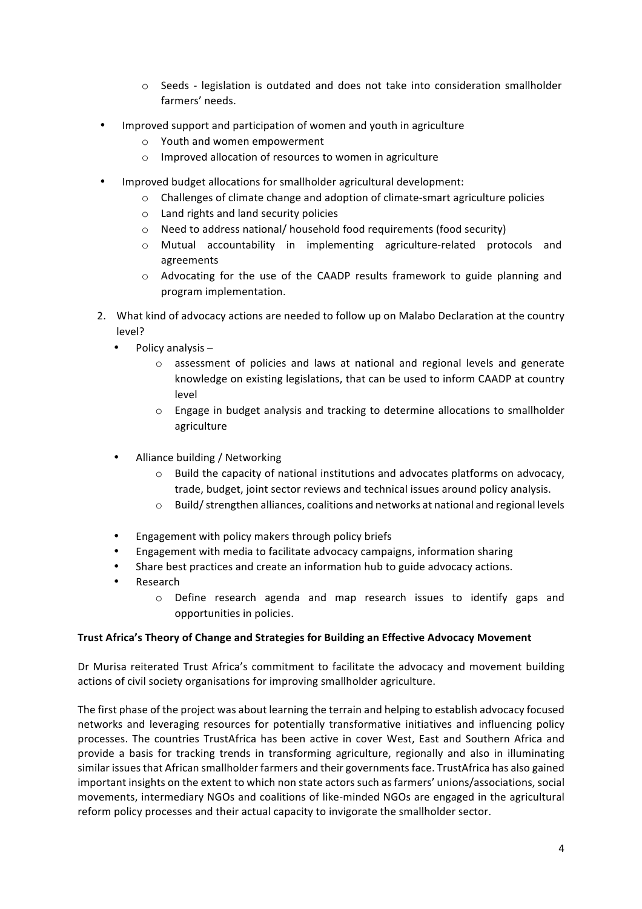- $\circ$  Seeds legislation is outdated and does not take into consideration smallholder farmers' needs.
- Improved support and participation of women and youth in agriculture
	- o Youth and women empowerment
	- $\circ$  Improved allocation of resources to women in agriculture
	- Improved budget allocations for smallholder agricultural development:
		- o Challenges of climate change and adoption of climate-smart agriculture policies
		- $\circ$  Land rights and land security policies
		- $\circ$  Need to address national/ household food requirements (food security)
		- $\circ$  Mutual accountability in implementing agriculture-related protocols and agreements
		- $\circ$  Advocating for the use of the CAADP results framework to guide planning and program implementation.
- 2. What kind of advocacy actions are needed to follow up on Malabo Declaration at the country level?
	- Policy analysis
		- $\circ$  assessment of policies and laws at national and regional levels and generate knowledge on existing legislations, that can be used to inform CAADP at country level
		- $\circ$  Engage in budget analysis and tracking to determine allocations to smallholder agriculture
	- Alliance building / Networking
		- $\circ$  Build the capacity of national institutions and advocates platforms on advocacy, trade, budget, joint sector reviews and technical issues around policy analysis.
		- $\circ$  Build/ strengthen alliances, coalitions and networks at national and regional levels
	- Engagement with policy makers through policy briefs
	- Engagement with media to facilitate advocacy campaigns, information sharing
	- Share best practices and create an information hub to guide advocacy actions.
	- Research
		- $\circ$  Define research agenda and map research issues to identify gaps and opportunities in policies.

#### **Trust Africa's Theory of Change and Strategies for Building an Effective Advocacy Movement**

Dr Murisa reiterated Trust Africa's commitment to facilitate the advocacy and movement building actions of civil society organisations for improving smallholder agriculture.

The first phase of the project was about learning the terrain and helping to establish advocacy focused networks and leveraging resources for potentially transformative initiatives and influencing policy processes. The countries TrustAfrica has been active in cover West, East and Southern Africa and provide a basis for tracking trends in transforming agriculture, regionally and also in illuminating similar issues that African smallholder farmers and their governments face. TrustAfrica has also gained important insights on the extent to which non state actors such as farmers' unions/associations, social movements, intermediary NGOs and coalitions of like-minded NGOs are engaged in the agricultural reform policy processes and their actual capacity to invigorate the smallholder sector.